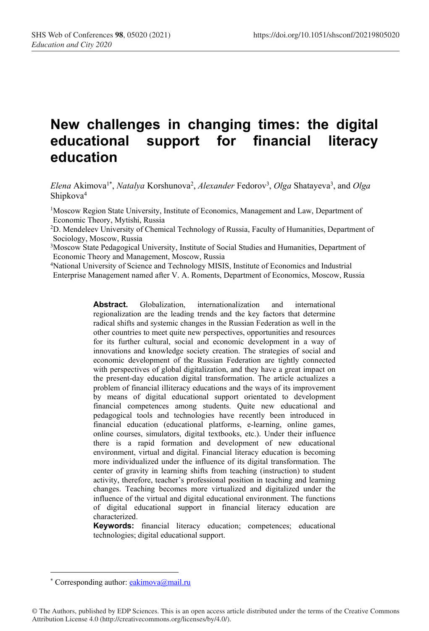# **New challenges in changing times: the digital educational support for financial literacy education**

Elena Akimova<sup>1\*</sup>, *Natalya* Korshunova<sup>2</sup>, *Alexander* Fedorov<sup>3</sup>, *Olga* Shatayeva<sup>3</sup>, and *Olga* Shipkova4

1Moscow Region State University, Institute of Economics, Management and Law, Department of Economic Theory, Mytishi, Russia

2D. Mendeleev University of Chemical Technology of Russia, Faculty of Humanities, Department of Sociology, Moscow, Russia

<sup>3</sup>Moscow State Pedagogical University, Institute of Social Studies and Humanities, Department of Economic Theory and Management, Moscow, Russia

4National University of Science and Technology MISIS, Institute of Economics and Industrial Enterprise Management named after V. A. Roments, Department of Economics, Moscow, Russia

> **Abstract.** Globalization, internationalization and international regionalization are the leading trends and the key factors that determine radical shifts and systemic changes in the Russian Federation as well in the other countries to meet quite new perspectives, opportunities and resources for its further cultural, social and economic development in a way of innovations and knowledge society creation. The strategies of social and economic development of the Russian Federation are tightly connected with perspectives of global digitalization, and they have a great impact on the present-day education digital transformation. The article actualizes a problem of financial illiteracy educations and the ways of its improvement by means of digital educational support orientated to development financial competences among students. Quite new educational and pedagogical tools and technologies have recently been introduced in financial education (educational platforms, e-learning, online games, online courses, simulators, digital textbooks, etc.). Under their influence there is a rapid formation and development of new educational environment, virtual and digital. Financial literacy education is becoming more individualized under the influence of its digital transformation. The center of gravity in learning shifts from teaching (instruction) to student activity, therefore, teacher's professional position in teaching and learning changes. Teaching becomes more virtualized and digitalized under the influence of the virtual and digital educational environment. The functions of digital educational support in financial literacy education are characterized.

> **Keywords:** financial literacy education; competences; educational technologies; digital educational support.

© The Authors, published by EDP Sciences. This is an open access article distributed under the terms of the Creative Commons Attribution License 4.0 (http://creativecommons.org/licenses/by/4.0/).

<sup>\*</sup> Corresponding author: eakimova@mail.ru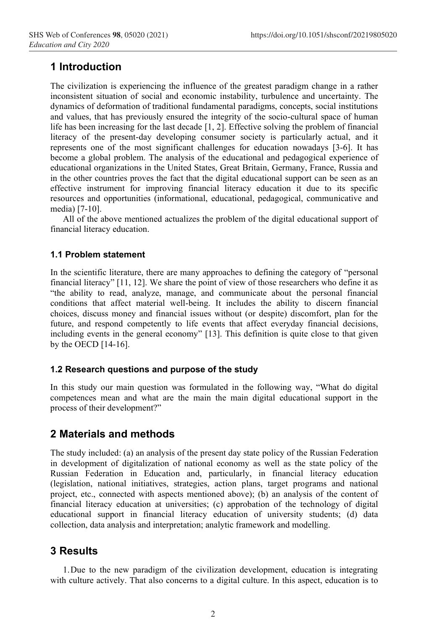# **1 Introduction**

The civilization is experiencing the influence of the greatest paradigm change in a rather inconsistent situation of social and economic instability, turbulence and uncertainty. The dynamics of deformation of traditional fundamental paradigms, concepts, social institutions and values, that has previously ensured the integrity of the socio-cultural space of human life has been increasing for the last decade [1, 2]. Effective solving the problem of financial literacy of the present-day developing consumer society is particularly actual, and it represents one of the most significant challenges for education nowadays [3-6]. It has become a global problem. The analysis of the educational and pedagogical experience of educational organizations in the United States, Great Britain, Germany, France, Russia and in the other countries proves the fact that the digital educational support can be seen as an effective instrument for improving financial literacy education it due to its specific resources and opportunities (informational, educational, pedagogical, communicative and media) [7-10].

All of the above mentioned actualizes the problem of the digital educational support of financial literacy education.

#### **1.1 Problem statement**

In the scientific literature, there are many approaches to defining the category of "personal financial literacy" [11, 12]. We share the point of view of those researchers who define it as "the ability to read, analyze, manage, and communicate about the personal financial conditions that affect material well-being. It includes the ability to discern financial choices, discuss money and financial issues without (or despite) discomfort, plan for the future, and respond competently to life events that affect everyday financial decisions, including events in the general economy" [13]. This definition is quite close to that given by the OECD [14-16].

#### **1.2 Research questions and purpose of the study**

In this study our main question was formulated in the following way, "What do digital competences mean and what are the main the main digital educational support in the process of their development?"

# **2 Materials and methods**

The study included: (a) an analysis of the present day state policy of the Russian Federation in development of digitalization of national economy as well as the state policy of the Russian Federation in Education and, particularly, in financial literacy education (legislation, national initiatives, strategies, action plans, target programs and national project, etc., connected with aspects mentioned above); (b) an analysis of the content of financial literacy education at universities; (c) approbation of the technology of digital educational support in financial literacy education of university students; (d) data collection, data analysis and interpretation; analytic framework and modelling.

## **3 Results**

1.Due to the new paradigm of the civilization development, education is integrating with culture actively. That also concerns to a digital culture. In this aspect, education is to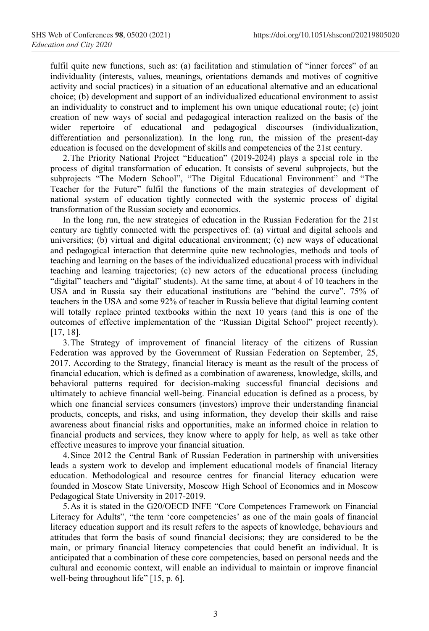fulfil quite new functions, such as: (a) facilitation and stimulation of "inner forces" of an individuality (interests, values, meanings, orientations demands and motives of cognitive activity and social practices) in a situation of an educational alternative and an educational choice; (b) development and support of an individualized educational environment to assist an individuality to construct and to implement his own unique educational route; (c) joint creation of new ways of social and pedagogical interaction realized on the basis of the wider repertoire of educational and pedagogical discourses (individualization, differentiation and personalization). In the long run, the mission of the present-day education is focused on the development of skills and competencies of the 21st century.

2.The Priority National Project "Education" (2019-2024) plays a special role in the process of digital transformation of education. It consists of several subprojects, but the subprojects "The Modern School", "The Digital Educational Environment" and "The Teacher for the Future" fulfil the functions of the main strategies of development of national system of education tightly connected with the systemic process of digital transformation of the Russian society and economics.

In the long run, the new strategies of education in the Russian Federation for the 21st century are tightly connected with the perspectives of: (a) virtual and digital schools and universities; (b) virtual and digital educational environment; (c) new ways of educational and pedagogical interaction that determine quite new technologies, methods and tools of teaching and learning on the bases of the individualized educational process with individual teaching and learning trajectories; (c) new actors of the educational process (including "digital" teachers and "digital" students). At the same time, at about 4 of 10 teachers in the USA and in Russia say their educational institutions are "behind the curve". 75% of teachers in the USA and some 92% of teacher in Russia believe that digital learning content will totally replace printed textbooks within the next 10 years (and this is one of the outcomes of effective implementation of the "Russian Digital School" project recently). [17, 18].

3.The Strategy of improvement of financial literacy of the citizens of Russian Federation was approved by the Government of Russian Federation on September, 25, 2017. According to the Strategy, financial literacy is meant as the result of the process of financial education, which is defined as a combination of awareness, knowledge, skills, and behavioral patterns required for decision-making successful financial decisions and ultimately to achieve financial well-being. Financial education is defined as a process, by which one financial services consumers (investors) improve their understanding financial products, concepts, and risks, and using information, they develop their skills and raise awareness about financial risks and opportunities, make an informed choice in relation to financial products and services, they know where to apply for help, as well as take other effective measures to improve your financial situation.

4.Since 2012 the Central Bank of Russian Federation in partnership with universities leads a system work to develop and implement educational models of financial literacy education. Methodological and resource centres for financial literacy education were founded in Moscow State University, Moscow High School of Economics and in Moscow Pedagogical State University in 2017-2019.

5.As it is stated in the G20/OECD INFE "Core Competences Framework on Financial Literacy for Adults", "the term 'core competencies' as one of the main goals of financial literacy education support and its result refers to the aspects of knowledge, behaviours and attitudes that form the basis of sound financial decisions; they are considered to be the main, or primary financial literacy competencies that could benefit an individual. It is anticipated that a combination of these core competencies, based on personal needs and the cultural and economic context, will enable an individual to maintain or improve financial well-being throughout life" [15, p. 6].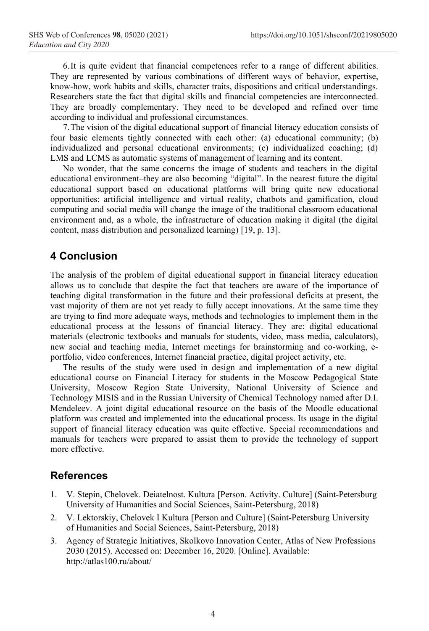6.It is quite evident that financial competences refer to a range of different abilities. They are represented by various combinations of different ways of behavior, expertise, know-how, work habits and skills, character traits, dispositions and critical understandings. Researchers state the fact that digital skills and financial competencies are interconnected. They are broadly complementary. They need to be developed and refined over time according to individual and professional circumstances.

7.The vision of the digital educational support of financial literacy education consists of four basic elements tightly connected with each other: (a) educational community; (b) individualized and personal educational environments; (c) individualized coaching; (d) LMS and LCMS as automatic systems of management of learning and its content.

No wonder, that the same concerns the image of students and teachers in the digital educational environment–they are also becoming "digital". In the nearest future the digital educational support based on educational platforms will bring quite new educational opportunities: artificial intelligence and virtual reality, chatbots and gamification, cloud computing and social media will change the image of the traditional classroom educational environment and, as a whole, the infrastructure of education making it digital (the digital content, mass distribution and personalized learning) [19, p. 13].

## **4 Conclusion**

The analysis of the problem of digital educational support in financial literacy education allows us to conclude that despite the fact that teachers are aware of the importance of teaching digital transformation in the future and their professional deficits at present, the vast majority of them are not yet ready to fully accept innovations. At the same time they are trying to find more adequate ways, methods and technologies to implement them in the educational process at the lessons of financial literacy. They are: digital educational materials (electronic textbooks and manuals for students, video, mass media, calculators), new social and teaching media, Internet meetings for brainstorming and co-working, eportfolio, video conferences, Internet financial practice, digital project activity, etc.

The results of the study were used in design and implementation of a new digital educational course on Financial Literacy for students in the Moscow Pedagogical State University, Moscow Region State University, National University of Science and Technology MISIS and in the Russian University of Chemical Technology named after D.I. Mendeleev. A joint digital educational resource on the basis of the Moodle educational platform was created and implemented into the educational process. Its usage in the digital support of financial literacy education was quite effective. Special recommendations and manuals for teachers were prepared to assist them to provide the technology of support more effective.

## **References**

- 1. V. Stepin, Chelovek. Deiatelnost. Kultura [Person. Activity. Culture] (Saint-Petersburg University of Humanities and Social Sciences, Saint-Petersburg, 2018)
- 2. V. Lektorskiy, Chelovek I Kultura [Person and Culture] (Saint-Petersburg University of Humanities and Social Sciences, Saint-Petersburg, 2018)
- 3. Agency of Strategic Initiatives, Skolkovo Innovation Center, Atlas of New Professions 2030 (2015). Accessed on: December 16, 2020. [Online]. Available: http://atlas100.ru/about/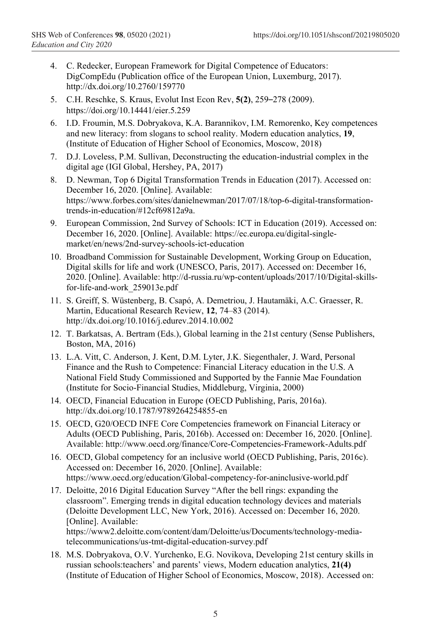- 4. C. Redecker, European Framework for Digital Competence of Educators: DigCompEdu (Publication office of the European Union, Luxemburg, 2017). http://dx.doi.org/10.2760/159770
- 5. C.H. Reschke, S. Kraus, Evolut Inst Econ Rev, **5(2)**, 259–278 (2009). https://doi.org/10.14441/eier.5.259
- 6. I.D. Froumin, M.S. Dobryakova, K.A. Barannikov, I.M. Remorenko, Key competences and new literacy: from slogans to school reality. Modern education analytics, **19**, (Institute of Education of Higher School of Economics, Moscow, 2018)
- 7. D.J. Loveless, P.M. Sullivan, Deconstructing the education-industrial complex in the digital age (IGI Global, Hershey, PA, 2017)
- 8. D. Newman, Top 6 Digital Transformation Trends in Education (2017). Accessed on: December 16, 2020. [Online]. Available: https://www.forbes.com/sites/danielnewman/2017/07/18/top-6-digital-transformationtrends-in-education/#12cf69812a9a.
- 9. European Commission, 2nd Survey of Schools: ICT in Education (2019). Accessed on: December 16, 2020. [Online]. Available: https://ec.europa.eu/digital-singlemarket/en/news/2nd-survey-schools-ict-education
- 10. Broadband Commission for Sustainable Development, Working Group on Education, Digital skills for life and work (UNESCO, Paris, 2017). Accessed on: December 16, 2020. [Online]. Available: http://d-russia.ru/wp-content/uploads/2017/10/Digital-skillsfor-life-and-work\_259013e.pdf
- 11. S. Greiff, S. Wüstenberg, B. Csapó, A. Demetriou, J. Hautamäki, A.C. Graesser, R. Martin, Educational Research Review, **12**, 74–83 (2014). http://dx.doi.org/10.1016/j.edurev.2014.10.002
- 12. T. Barkatsas, A. Bertram (Eds.), Global learning in the 21st century (Sense Publishers, Boston, MA, 2016)
- 13. L.A. Vitt, C. Anderson, J. Kent, D.M. Lyter, J.K. Siegenthaler, J. Ward, Personal Finance and the Rush to Competence: Financial Literacy education in the U.S. A National Field Study Commissioned and Supported by the Fannie Mae Foundation (Institute for Socio-Financial Studies, Middleburg, Virginia, 2000)
- 14. OECD, Financial Education in Europe (OECD Publishing, Paris, 2016a). http://dx.doi.org/10.1787/9789264254855-en
- 15. OECD, G20/OECD INFE Core Competencies framework on Financial Literacy or Adults (OECD Publishing, Paris, 2016b). Accessed on: December 16, 2020. [Online]. Available: http://www.oecd.org/finance/Core-Competencies-Framework-Adults.pdf
- 16. OECD, Global competency for an inclusive world (OECD Publishing, Paris, 2016c). Accessed on: December 16, 2020. [Online]. Available: https://www.oecd.org/education/Global-competency-for-aninclusive-world.pdf
- 17. Deloitte, 2016 Digital Education Survey "After the bell rings: expanding the classroom". Emerging trends in digital education technology devices and materials (Deloitte Development LLC, New York, 2016). Accessed on: December 16, 2020. [Online]. Available: https://www2.deloitte.com/content/dam/Deloitte/us/Documents/technology-mediatelecommunications/us-tmt-digital-education-survey.pdf
- 18. M.S. Dobryakova, O.V. Yurchenko, E.G. Novikova, Developing 21st century skills in russian schools:teachers' and parents' views, Modern education analytics, **21(4)** (Institute of Education of Higher School of Economics, Moscow, 2018). Accessed on: